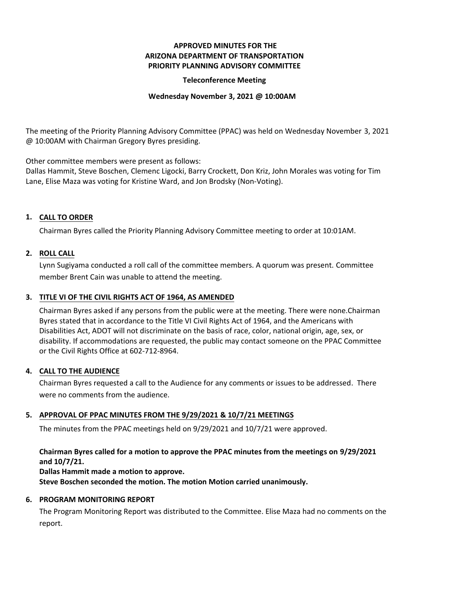# **APPROVED MINUTES FOR THE ARIZONA DEPARTMENT OF TRANSPORTATION PRIORITY PLANNING ADVISORY COMMITTEE**

### **Teleconference Meeting**

#### **Wednesday November 3, 2021 @ 10:00AM**

The meeting of the Priority Planning Advisory Committee (PPAC) was held on Wednesday November 3, 2021 @ 10:00AM with Chairman Gregory Byres presiding.

Other committee members were present as follows:

Dallas Hammit, Steve Boschen, Clemenc Ligocki, Barry Crockett, Don Kriz, John Morales was voting for Tim Lane, Elise Maza was voting for Kristine Ward, and Jon Brodsky (Non-Voting).

# **CALL TO ORDER 1.**

Chairman Byres called the Priority Planning Advisory Committee meeting to order at 10:01AM.

## **ROLL CALL 2.**

Lynn Sugiyama conducted a roll call of the committee members. A quorum was present. Committee member Brent Cain was unable to attend the meeting.

## **TITLE VI OF THE CIVIL RIGHTS ACT OF 1964, AS AMENDED 3.**

Chairman Byres asked if any persons from the public were at the meeting. There were none.Chairman Byres stated that in accordance to the Title VI Civil Rights Act of 1964, and the Americans with Disabilities Act, ADOT will not discriminate on the basis of race, color, national origin, age, sex, or disability. If accommodations are requested, the public may contact someone on the PPAC Committee or the Civil Rights Office at 602-712-8964.

#### **CALL TO THE AUDIENCE 4.**

Chairman Byres requested a call to the Audience for any comments or issues to be addressed. There were no comments from the audience.

## **APPROVAL OF PPAC MINUTES FROM THE 9/29/2021 & 10/7/21 MEETINGS 5.**

The minutes from the PPAC meetings held on 9/29/2021 and 10/7/21 were approved.

# **Chairman Byres called for a motion to approve the PPAC minutes from the meetings on 9/29/2021 and 10/7/21.**

**Dallas Hammit made a motion to approve. Steve Boschen seconded the motion. The motion Motion carried unanimously.**

#### **6. PROGRAM MONITORING REPORT**

The Program Monitoring Report was distributed to the Committee. Elise Maza had no comments on the report.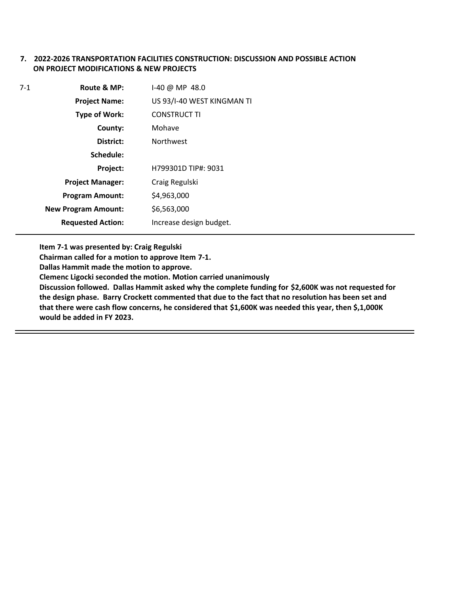## **7. 2022-2026 TRANSPORTATION FACILITIES CONSTRUCTION: DISCUSSION AND POSSIBLE ACTION ON PROJECT MODIFICATIONS & NEW PROJECTS**

| 7-1 | Route & MP:                | I-40 @ MP 48.0             |
|-----|----------------------------|----------------------------|
|     | <b>Project Name:</b>       | US 93/I-40 WEST KINGMAN TI |
|     | <b>Type of Work:</b>       | <b>CONSTRUCT TI</b>        |
|     | County:                    | Mohave                     |
|     | District:                  | <b>Northwest</b>           |
|     | Schedule:                  |                            |
|     | Project:                   | H799301D TIP#: 9031        |
|     | <b>Project Manager:</b>    | Craig Regulski             |
|     | <b>Program Amount:</b>     | \$4,963,000                |
|     | <b>New Program Amount:</b> | \$6,563,000                |
|     | <b>Requested Action:</b>   | Increase design budget.    |

**Item 7-1 was presented by: Craig Regulski**

**Chairman called for a motion to approve Item 7-1.**

**Dallas Hammit made the motion to approve.**

**Clemenc Ligocki seconded the motion. Motion carried unanimously**

**Discussion followed. Dallas Hammit asked why the complete funding for \$2,600K was not requested for the design phase. Barry Crockett commented that due to the fact that no resolution has been set and that there were cash flow concerns, he considered that \$1,600K was needed this year, then \$,1,000K would be added in FY 2023.**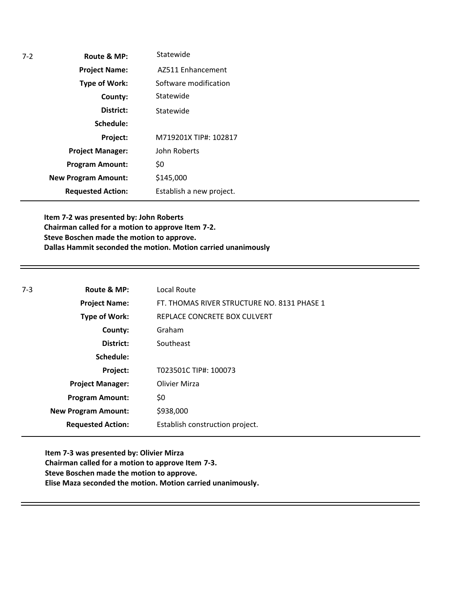| Route & MP:                | Statewide                |
|----------------------------|--------------------------|
| <b>Project Name:</b>       | AZ511 Enhancement        |
| <b>Type of Work:</b>       | Software modification    |
| County:                    | Statewide                |
| District:                  | Statewide                |
| Schedule:                  |                          |
| Project:                   | M719201X TIP#: 102817    |
| <b>Project Manager:</b>    | John Roberts             |
| <b>Program Amount:</b>     | \$0                      |
| <b>New Program Amount:</b> | \$145,000                |
| <b>Requested Action:</b>   | Establish a new project. |
|                            |                          |

**Item 7-2 was presented by: John Roberts Chairman called for a motion to approve Item 7-2. Steve Boschen made the motion to approve. Dallas Hammit seconded the motion. Motion carried unanimously**

| Route & MP:<br>$7-3$       | Local Route                                 |
|----------------------------|---------------------------------------------|
| <b>Project Name:</b>       | FT. THOMAS RIVER STRUCTURE NO. 8131 PHASE 1 |
| Type of Work:              | REPLACE CONCRETE BOX CULVERT                |
| County:                    | Graham                                      |
| District:                  | Southeast                                   |
| Schedule:                  |                                             |
| Project:                   | T023501C TIP#: 100073                       |
| <b>Project Manager:</b>    | Olivier Mirza                               |
| <b>Program Amount:</b>     | \$0                                         |
| <b>New Program Amount:</b> | \$938,000                                   |
| <b>Requested Action:</b>   | Establish construction project.             |

**Item 7-3 was presented by: Olivier Mirza Chairman called for a motion to approve Item 7-3. Steve Boschen made the motion to approve. Elise Maza seconded the motion. Motion carried unanimously.**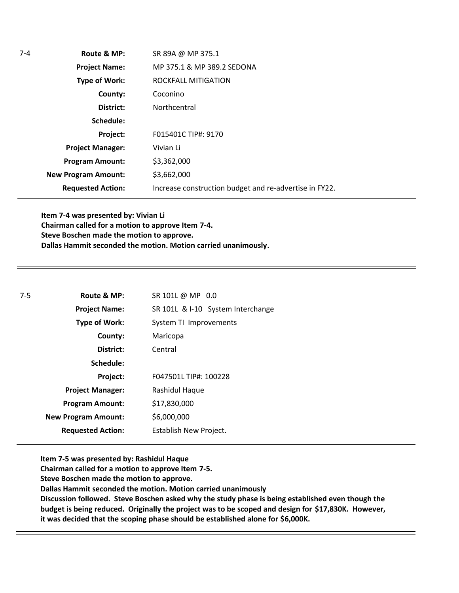| $7 - 4$ | Route & MP:                | SR 89A @ MP 375.1                                      |
|---------|----------------------------|--------------------------------------------------------|
|         | <b>Project Name:</b>       | MP 375.1 & MP 389.2 SEDONA                             |
|         | Type of Work:              | ROCKFALL MITIGATION                                    |
|         | County:                    | Coconino                                               |
|         | District:                  | Northcentral                                           |
|         | Schedule:                  |                                                        |
|         | Project:                   | F015401C TIP#: 9170                                    |
|         | <b>Project Manager:</b>    | Vivian Li                                              |
|         | <b>Program Amount:</b>     | \$3,362,000                                            |
|         | <b>New Program Amount:</b> | \$3,662,000                                            |
|         | <b>Requested Action:</b>   | Increase construction budget and re-advertise in FY22. |

**Item 7-4 was presented by: Vivian Li Chairman called for a motion to approve Item 7-4. Steve Boschen made the motion to approve. Dallas Hammit seconded the motion. Motion carried unanimously.**

| 7-5 | Route & MP:                | SR 101L @ MP 0.0                  |  |
|-----|----------------------------|-----------------------------------|--|
|     | <b>Project Name:</b>       | SR 101L & I-10 System Interchange |  |
|     | Type of Work:              | System TI Improvements            |  |
|     | County:                    | Maricopa                          |  |
|     | District:                  | Central                           |  |
|     | Schedule:                  |                                   |  |
|     | Project:                   | F047501L TIP#: 100228             |  |
|     | <b>Project Manager:</b>    | Rashidul Haque                    |  |
|     | <b>Program Amount:</b>     | \$17,830,000                      |  |
|     | <b>New Program Amount:</b> | \$6,000,000                       |  |
|     | <b>Requested Action:</b>   | Establish New Project.            |  |
|     |                            |                                   |  |

**Item 7-5 was presented by: Rashidul Haque**

**Chairman called for a motion to approve Item 7-5.**

**Steve Boschen made the motion to approve.**

**Dallas Hammit seconded the motion. Motion carried unanimously**

**Discussion followed. Steve Boschen asked why the study phase is being established even though the budget is being reduced. Originally the project was to be scoped and design for \$17,830K. However, it was decided that the scoping phase should be established alone for \$6,000K.**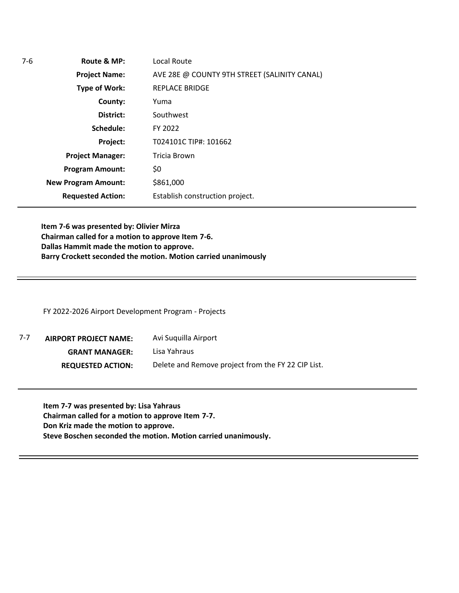**Route & MP: County: District: Schedule: Project Name: Type of Work: Project Manager: Project: Requested Action: New Program Amount:** 7-6 **Program Amount:** Local Route AVE 28E @ COUNTY 9TH STREET (SALINITY CANAL) REPLACE BRIDGE Yuma Southwest FY 2022 T024101C TIP#: 101662 Tricia Brown \$0 \$861,000 Establish construction project.

**Item 7-6 was presented by: Olivier Mirza Chairman called for a motion to approve Item 7-6. Dallas Hammit made the motion to approve. Barry Crockett seconded the motion. Motion carried unanimously**

FY 2022-2026 Airport Development Program - Projects

**AIRPORT PROJECT NAME: GRANT MANAGER: REQUESTED ACTION:** Avi Suquilla Airport Lisa Yahraus Delete and Remove project from the FY 22 CIP List. 7-7

**Item 7-7 was presented by: Lisa Yahraus Chairman called for a motion to approve Item 7-7. Don Kriz made the motion to approve. Steve Boschen seconded the motion. Motion carried unanimously.**